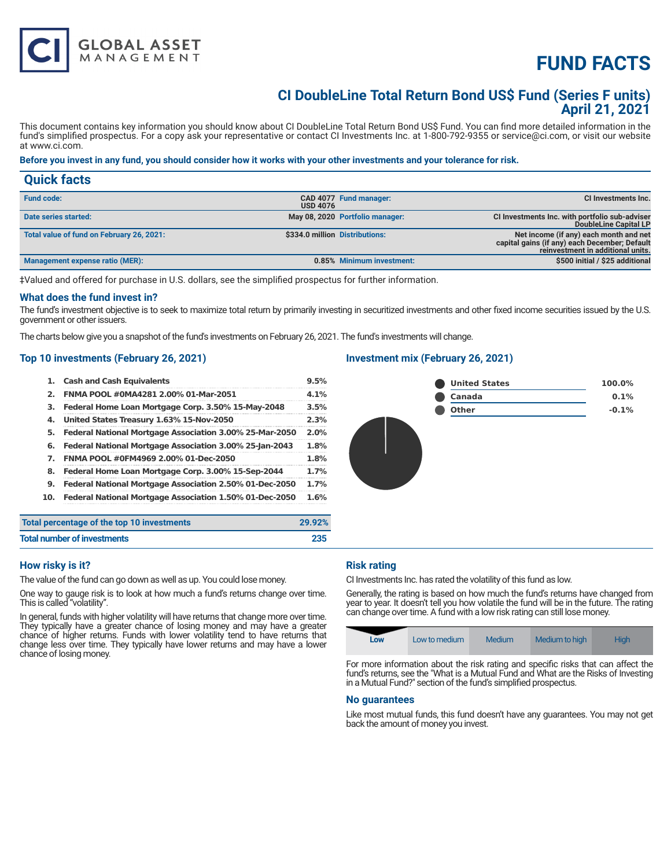# **FUND FACTS**

### **CI DoubleLine Total Return Bond US\$ Fund (Series F units) April 21, 2021**

This document contains key information you should know about CI DoubleLine Total Return Bond US\$ Fund. You can find more detailed information in the fund's simplified prospectus. For a copy ask your representative or contact CI Investments Inc. at 1-800-792-9355 or service@ci.com, or visit our website at www.ci.com.

#### **Before you invest in any fund, you should consider how it works with your other investments and your tolerance for risk.**

| <b>Quick facts</b>                        |                 |                                 |                                                                                                                              |
|-------------------------------------------|-----------------|---------------------------------|------------------------------------------------------------------------------------------------------------------------------|
| <b>Fund code:</b>                         | <b>USD 4076</b> | CAD 4077 Fund manager:          | <b>CI Investments Inc.</b>                                                                                                   |
| Date series started:                      |                 | May 08, 2020 Portfolio manager: | CI Investments Inc. with portfolio sub-adviser<br>DoubleLine Capital LP                                                      |
| Total value of fund on February 26, 2021: |                 | \$334.0 million Distributions:  | Net income (if any) each month and net<br>capital gains (if any) each December; Default<br>reinvestment in additional units. |
| Management expense ratio (MER):           |                 | 0.85% Minimum investment:       | \$500 initial / \$25 additional                                                                                              |

‡Valued and offered for purchase in U.S. dollars, see the simplified prospectus for further information.

#### **What does the fund invest in?**

The fund's investment objective is to seek to maximize total return by primarily investing in securitized investments and other fixed income securities issued by the U.S. government or other issuers.

The charts below give you a snapshot of the fund's investments on February 26, 2021. The fund's investments will change.

#### **Top 10 investments (February 26, 2021)**

**GLOBAL ASSET**<br>MANAGEMENT

| 1.  | <b>Cash and Cash Equivalents</b>                        | 9.5%   |
|-----|---------------------------------------------------------|--------|
| 2.  | FNMA POOL #0MA4281 2.00% 01-Mar-2051                    | 4.1%   |
| з.  | Federal Home Loan Mortgage Corp. 3.50% 15-May-2048      | 3.5%   |
| 4.  | United States Treasury 1.63% 15-Nov-2050                | 2.3%   |
| 5.  | Federal National Mortgage Association 3.00% 25-Mar-2050 | 2.0%   |
| 6.  | Federal National Mortgage Association 3.00% 25-Jan-2043 | 1.8%   |
| 7.  | FNMA POOL #0FM4969 2.00% 01-Dec-2050                    | 1.8%   |
| 8.  | Federal Home Loan Mortgage Corp. 3.00% 15-Sep-2044      | 1.7%   |
| 9.  | Federal National Mortgage Association 2.50% 01-Dec-2050 | 1.7%   |
| 10. | Federal National Mortgage Association 1.50% 01-Dec-2050 | 1.6%   |
|     | percentage of the top 10 investments                    | 29.92% |

#### **Investment mix (February 26, 2021)**



| Total percentage of the top 10 investments | 29.92% |
|--------------------------------------------|--------|
| <b>Total number of investments</b>         | 235    |

#### **How risky is it?**

The value of the fund can go down as well as up. You could lose money.

One way to gauge risk is to look at how much a fund's returns change over time. This is called "volatility".

In general, funds with higher volatility will have returns that change more over time. They typically have a greater chance of losing money and may have a greater chance of higher returns. Funds with lower volatility tend to have returns that change less over time. They typically have lower returns and may have a lower chance of losing money.

#### **Risk rating**

CI Investments Inc. has rated the volatility of this fund as low.

Generally, the rating is based on how much the fund's returns have changed from year to year. It doesn't tell you how volatile the fund will be in the future. The rating can change over time. A fund with a low risk rating can still lose money.

| Low | Low to medium | Medium | Medium to high | <b>High</b> |
|-----|---------------|--------|----------------|-------------|
|-----|---------------|--------|----------------|-------------|

For more information about the risk rating and specific risks that can affect the fund's returns, see the "What is a Mutual Fund and What are the Risks of Investing in a Mutual Fund?" section of the fund's simplified prospectus.

#### **No guarantees**

Like most mutual funds, this fund doesn't have any guarantees. You may not get back the amount of money you invest.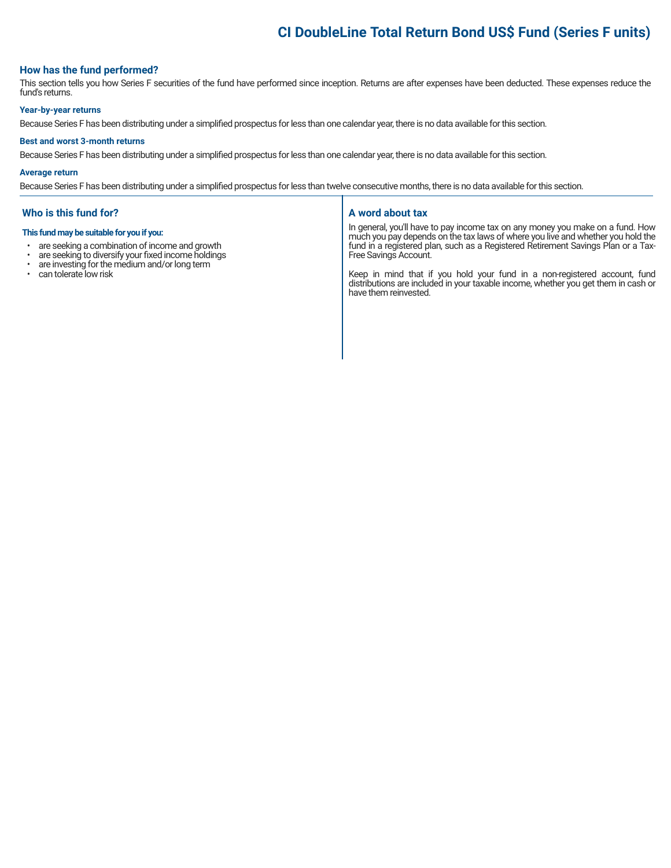## **CI DoubleLine Total Return Bond US\$ Fund (Series F units)**

#### **How has the fund performed?**

This section tells you how Series F securities of the fund have performed since inception. Returns are after expenses have been deducted. These expenses reduce the fund's returns.

#### **Year-by-year returns**

Because Series F has been distributing under a simplified prospectus for less than one calendar year, there is no data available for this section.

#### **Best and worst 3-month returns**

Because Series F has been distributing under a simplified prospectus for less than one calendar year, there is no data available for this section.

#### **Average return**

Because Series F has been distributing under a simplified prospectus for less than twelve consecutive months, there is no data available for this section.

#### **Who is this fund for?**

#### **This fund may be suitable for you if you:**

- are seeking a combination of income and growth<br>• are seeking to diversify your fixed income holdings
- are seeking to diversify your fixed income holdings<br>• are investing for the medium and/or long term
- are investing for the medium and/or long term
- can tolerate low risk

#### **A word about tax**

In general, you'll have to pay income tax on any money you make on a fund. How much you pay depends on the tax laws of where you live and whether you hold the fund in a registered plan, such as a Registered Retirement Savings Plan or a Tax-Free Savings Account.

Keep in mind that if you hold your fund in a non-registered account, fund distributions are included in your taxable income, whether you get them in cash or have them reinvested.